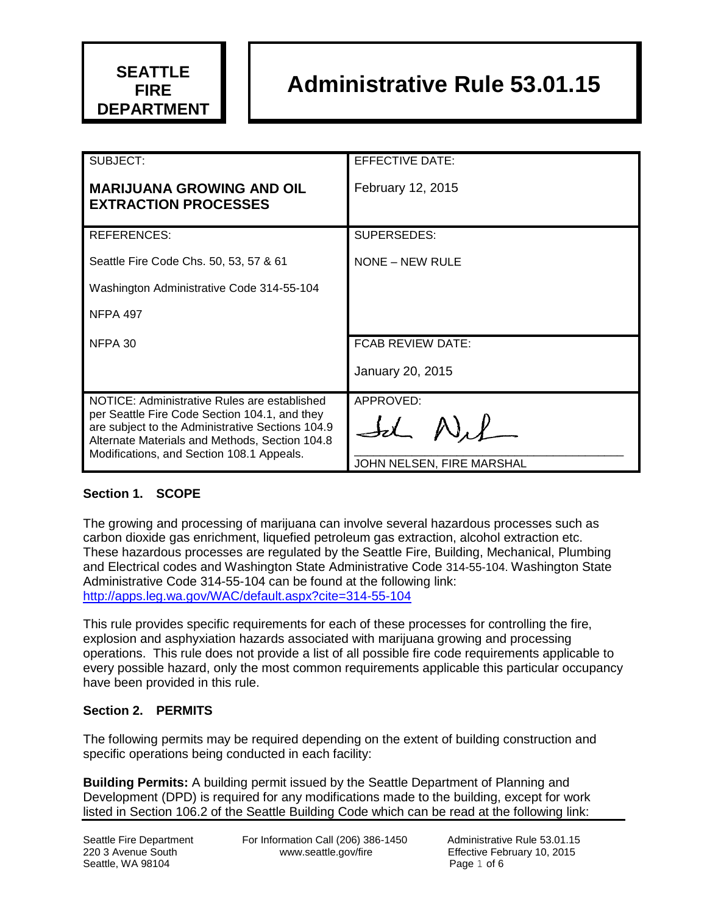

# **Administrative Rule 53.01.15**

| SUBJECT:                                                                                                                                            | EFFECTIVE DATE:           |
|-----------------------------------------------------------------------------------------------------------------------------------------------------|---------------------------|
| <b>MARIJUANA GROWING AND OIL</b>                                                                                                                    | February 12, 2015         |
| <b>EXTRACTION PROCESSES</b>                                                                                                                         |                           |
| REFERENCES:                                                                                                                                         | SUPERSEDES:               |
| Seattle Fire Code Chs. 50, 53, 57 & 61                                                                                                              | NONE – NEW RULE           |
| Washington Administrative Code 314-55-104                                                                                                           |                           |
| <b>NFPA 497</b>                                                                                                                                     |                           |
| NFPA 30                                                                                                                                             | <b>FCAB REVIEW DATE:</b>  |
|                                                                                                                                                     | January 20, 2015          |
| NOTICE: Administrative Rules are established                                                                                                        | APPROVED:                 |
| per Seattle Fire Code Section 104.1, and they<br>are subject to the Administrative Sections 104.9<br>Alternate Materials and Methods, Section 104.8 |                           |
| Modifications, and Section 108.1 Appeals.                                                                                                           | JOHN NELSEN, FIRE MARSHAL |

#### **Section 1. SCOPE**

The growing and processing of marijuana can involve several hazardous processes such as carbon dioxide gas enrichment, liquefied petroleum gas extraction, alcohol extraction etc. These hazardous processes are regulated by the Seattle Fire, Building, Mechanical, Plumbing and Electrical codes and Washington State Administrative Code 314-55-104. Washington State Administrative Code 314-55-104 can be found at the following link: <http://apps.leg.wa.gov/WAC/default.aspx?cite=314-55-104>

This rule provides specific requirements for each of these processes for controlling the fire, explosion and asphyxiation hazards associated with marijuana growing and processing operations. This rule does not provide a list of all possible fire code requirements applicable to every possible hazard, only the most common requirements applicable this particular occupancy have been provided in this rule.

#### **Section 2. PERMITS**

The following permits may be required depending on the extent of building construction and specific operations being conducted in each facility:

**Building Permits:** A building permit issued by the Seattle Department of Planning and Development (DPD) is required for any modifications made to the building, except for work listed in Section 106.2 of the Seattle Building Code which can be read at the following link: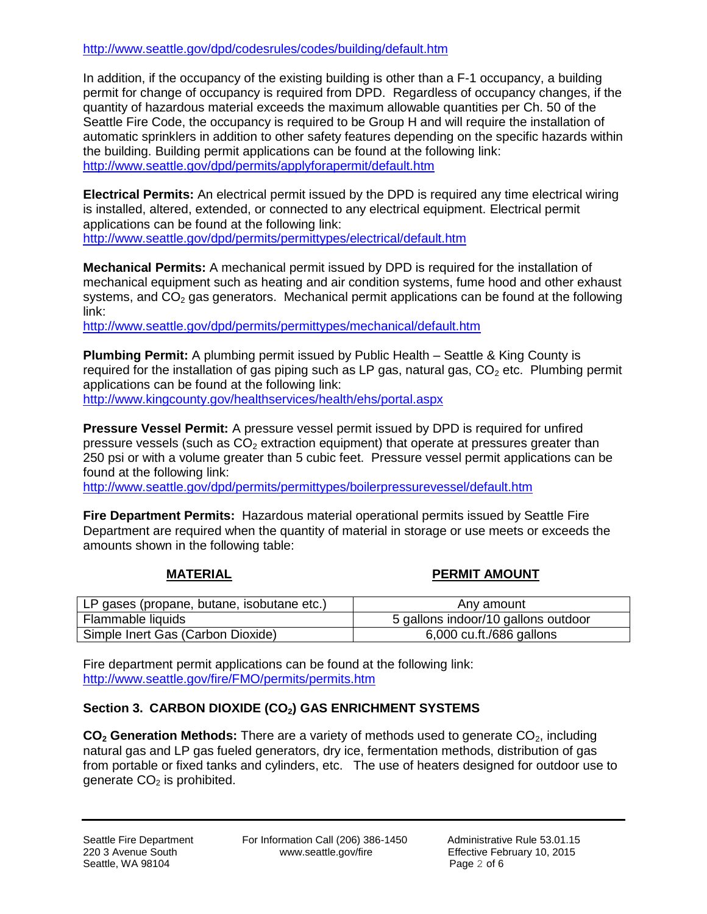<http://www.seattle.gov/dpd/codesrules/codes/building/default.htm>

In addition, if the occupancy of the existing building is other than a F-1 occupancy, a building permit for change of occupancy is required from DPD. Regardless of occupancy changes, if the quantity of hazardous material exceeds the maximum allowable quantities per Ch. 50 of the Seattle Fire Code, the occupancy is required to be Group H and will require the installation of automatic sprinklers in addition to other safety features depending on the specific hazards within the building. Building permit applications can be found at the following link: <http://www.seattle.gov/dpd/permits/applyforapermit/default.htm>

**Electrical Permits:** An electrical permit issued by the DPD is required any time electrical wiring is installed, altered, extended, or connected to any electrical equipment. Electrical permit applications can be found at the following link: <http://www.seattle.gov/dpd/permits/permittypes/electrical/default.htm>

**Mechanical Permits:** A mechanical permit issued by DPD is required for the installation of mechanical equipment such as heating and air condition systems, fume hood and other exhaust systems, and  $CO<sub>2</sub>$  gas generators. Mechanical permit applications can be found at the following link:

<http://www.seattle.gov/dpd/permits/permittypes/mechanical/default.htm>

**Plumbing Permit:** A plumbing permit issued by Public Health – Seattle & King County is required for the installation of gas piping such as LP gas, natural gas,  $CO<sub>2</sub>$  etc. Plumbing permit applications can be found at the following link: <http://www.kingcounty.gov/healthservices/health/ehs/portal.aspx>

**Pressure Vessel Permit:** A pressure vessel permit issued by DPD is required for unfired pressure vessels (such as  $CO<sub>2</sub>$  extraction equipment) that operate at pressures greater than 250 psi or with a volume greater than 5 cubic feet. Pressure vessel permit applications can be found at the following link:

<http://www.seattle.gov/dpd/permits/permittypes/boilerpressurevessel/default.htm>

**Fire Department Permits:** Hazardous material operational permits issued by Seattle Fire Department are required when the quantity of material in storage or use meets or exceeds the amounts shown in the following table:

#### **MATERIAL PERMIT AMOUNT**

| LP gases (propane, butane, isobutane etc.) | Any amount                          |
|--------------------------------------------|-------------------------------------|
| Flammable liquids                          | 5 gallons indoor/10 gallons outdoor |
| Simple Inert Gas (Carbon Dioxide)          | 6,000 cu.ft./686 gallons            |

Fire department permit applications can be found at the following link: <http://www.seattle.gov/fire/FMO/permits/permits.htm>

#### **Section 3. CARBON DIOXIDE (CO2) GAS ENRICHMENT SYSTEMS**

**CO<sub>2</sub>** Generation Methods: There are a variety of methods used to generate CO<sub>2</sub>, including natural gas and LP gas fueled generators, dry ice, fermentation methods, distribution of gas from portable or fixed tanks and cylinders, etc. The use of heaters designed for outdoor use to generate  $CO<sub>2</sub>$  is prohibited.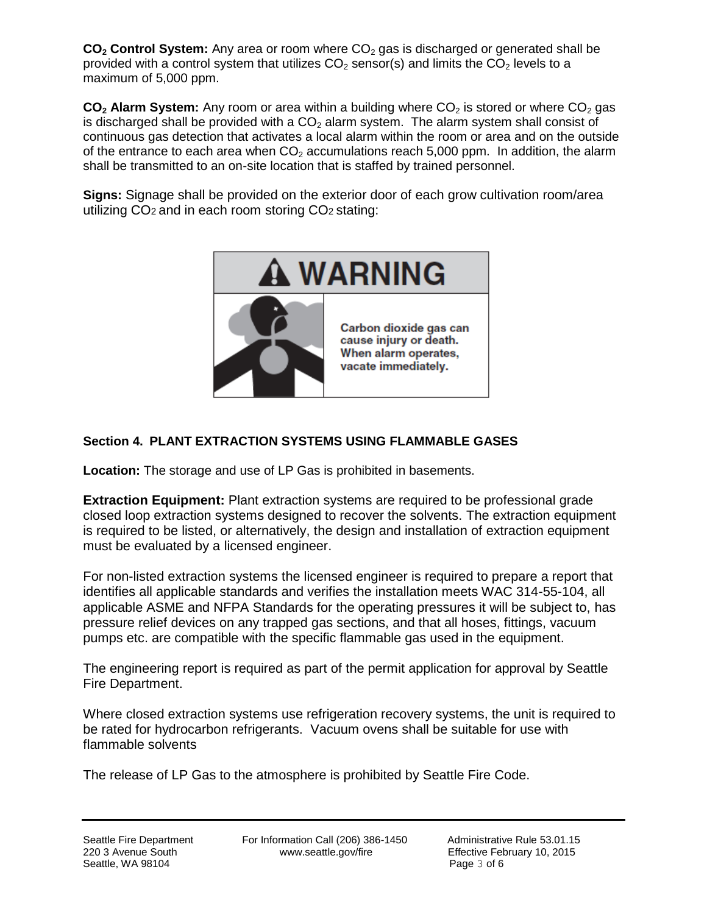**CO<sub>2</sub> Control System:** Any area or room where CO<sub>2</sub> gas is discharged or generated shall be provided with a control system that utilizes  $CO<sub>2</sub>$  sensor(s) and limits the  $CO<sub>2</sub>$  levels to a maximum of 5,000 ppm.

 $CO<sub>2</sub>$  **Alarm System:** Any room or area within a building where  $CO<sub>2</sub>$  is stored or where  $CO<sub>2</sub>$  gas is discharged shall be provided with a  $CO<sub>2</sub>$  alarm system. The alarm system shall consist of continuous gas detection that activates a local alarm within the room or area and on the outside of the entrance to each area when  $CO<sub>2</sub>$  accumulations reach 5,000 ppm. In addition, the alarm shall be transmitted to an on-site location that is staffed by trained personnel.

**Signs:** Signage shall be provided on the exterior door of each grow cultivation room/area utilizing CO2 and in each room storing CO2 stating:



# **Section 4. PLANT EXTRACTION SYSTEMS USING FLAMMABLE GASES**

**Location:** The storage and use of LP Gas is prohibited in basements.

**Extraction Equipment:** Plant extraction systems are required to be professional grade closed loop extraction systems designed to recover the solvents. The extraction equipment is required to be listed, or alternatively, the design and installation of extraction equipment must be evaluated by a licensed engineer.

For non-listed extraction systems the licensed engineer is required to prepare a report that identifies all applicable standards and verifies the installation meets WAC 314-55-104, all applicable ASME and NFPA Standards for the operating pressures it will be subject to, has pressure relief devices on any trapped gas sections, and that all hoses, fittings, vacuum pumps etc. are compatible with the specific flammable gas used in the equipment.

The engineering report is required as part of the permit application for approval by Seattle Fire Department.

Where closed extraction systems use refrigeration recovery systems, the unit is required to be rated for hydrocarbon refrigerants. Vacuum ovens shall be suitable for use with flammable solvents

The release of LP Gas to the atmosphere is prohibited by Seattle Fire Code.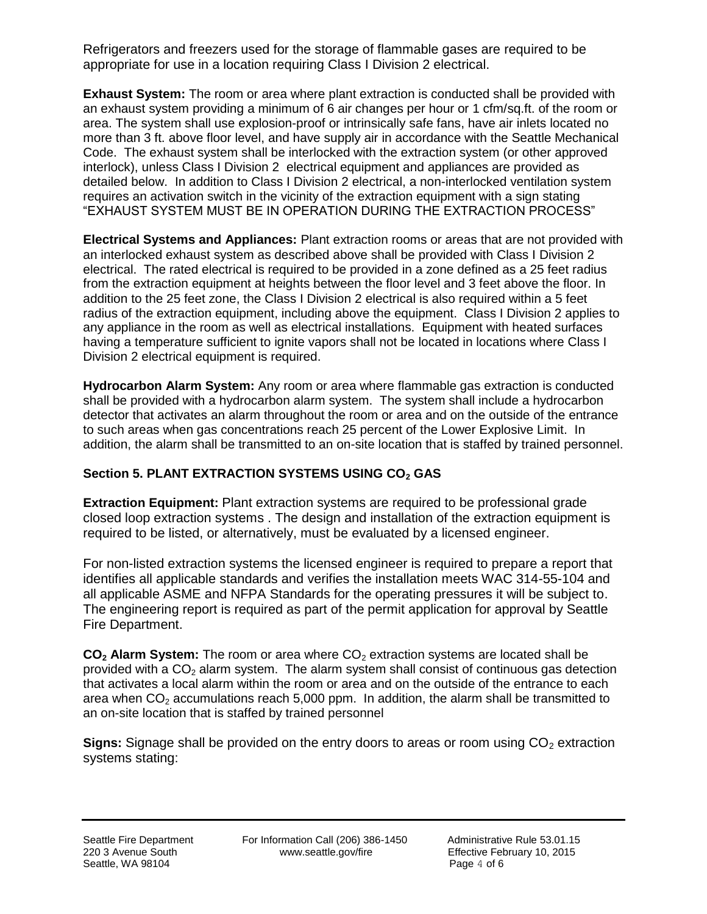Refrigerators and freezers used for the storage of flammable gases are required to be appropriate for use in a location requiring Class I Division 2 electrical.

**Exhaust System:** The room or area where plant extraction is conducted shall be provided with an exhaust system providing a minimum of 6 air changes per hour or 1 cfm/sq.ft. of the room or area. The system shall use explosion-proof or intrinsically safe fans, have air inlets located no more than 3 ft. above floor level, and have supply air in accordance with the Seattle Mechanical Code. The exhaust system shall be interlocked with the extraction system (or other approved interlock), unless Class I Division 2 electrical equipment and appliances are provided as detailed below. In addition to Class I Division 2 electrical, a non-interlocked ventilation system requires an activation switch in the vicinity of the extraction equipment with a sign stating "EXHAUST SYSTEM MUST BE IN OPERATION DURING THE EXTRACTION PROCESS"

**Electrical Systems and Appliances:** Plant extraction rooms or areas that are not provided with an interlocked exhaust system as described above shall be provided with Class I Division 2 electrical. The rated electrical is required to be provided in a zone defined as a 25 feet radius from the extraction equipment at heights between the floor level and 3 feet above the floor. In addition to the 25 feet zone, the Class I Division 2 electrical is also required within a 5 feet radius of the extraction equipment, including above the equipment. Class I Division 2 applies to any appliance in the room as well as electrical installations. Equipment with heated surfaces having a temperature sufficient to ignite vapors shall not be located in locations where Class I Division 2 electrical equipment is required.

**Hydrocarbon Alarm System:** Any room or area where flammable gas extraction is conducted shall be provided with a hydrocarbon alarm system. The system shall include a hydrocarbon detector that activates an alarm throughout the room or area and on the outside of the entrance to such areas when gas concentrations reach 25 percent of the Lower Explosive Limit. In addition, the alarm shall be transmitted to an on-site location that is staffed by trained personnel.

## **Section 5. PLANT EXTRACTION SYSTEMS USING CO<sup>2</sup> GAS**

**Extraction Equipment:** Plant extraction systems are required to be professional grade closed loop extraction systems . The design and installation of the extraction equipment is required to be listed, or alternatively, must be evaluated by a licensed engineer.

For non-listed extraction systems the licensed engineer is required to prepare a report that identifies all applicable standards and verifies the installation meets WAC 314-55-104 and all applicable ASME and NFPA Standards for the operating pressures it will be subject to. The engineering report is required as part of the permit application for approval by Seattle Fire Department.

**CO<sub>2</sub> Alarm System:** The room or area where CO<sub>2</sub> extraction systems are located shall be provided with a  $CO<sub>2</sub>$  alarm system. The alarm system shall consist of continuous gas detection that activates a local alarm within the room or area and on the outside of the entrance to each area when  $CO<sub>2</sub>$  accumulations reach 5,000 ppm. In addition, the alarm shall be transmitted to an on-site location that is staffed by trained personnel

**Signs:** Signage shall be provided on the entry doors to areas or room using CO<sub>2</sub> extraction systems stating: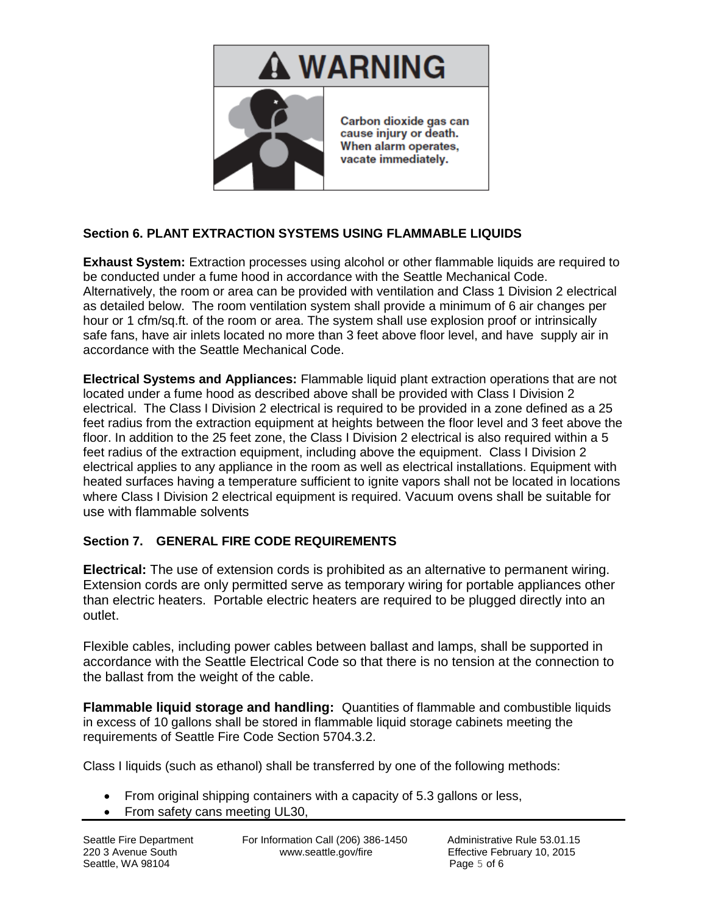

### **Section 6. PLANT EXTRACTION SYSTEMS USING FLAMMABLE LIQUIDS**

**Exhaust System:** Extraction processes using alcohol or other flammable liquids are required to be conducted under a fume hood in accordance with the Seattle Mechanical Code. Alternatively, the room or area can be provided with ventilation and Class 1 Division 2 electrical as detailed below. The room ventilation system shall provide a minimum of 6 air changes per hour or 1 cfm/sq.ft. of the room or area. The system shall use explosion proof or intrinsically safe fans, have air inlets located no more than 3 feet above floor level, and have supply air in accordance with the Seattle Mechanical Code.

**Electrical Systems and Appliances:** Flammable liquid plant extraction operations that are not located under a fume hood as described above shall be provided with Class I Division 2 electrical. The Class I Division 2 electrical is required to be provided in a zone defined as a 25 feet radius from the extraction equipment at heights between the floor level and 3 feet above the floor. In addition to the 25 feet zone, the Class I Division 2 electrical is also required within a 5 feet radius of the extraction equipment, including above the equipment. Class I Division 2 electrical applies to any appliance in the room as well as electrical installations. Equipment with heated surfaces having a temperature sufficient to ignite vapors shall not be located in locations where Class I Division 2 electrical equipment is required. Vacuum ovens shall be suitable for use with flammable solvents

#### **Section 7. GENERAL FIRE CODE REQUIREMENTS**

**Electrical:** The use of extension cords is prohibited as an alternative to permanent wiring. Extension cords are only permitted serve as temporary wiring for portable appliances other than electric heaters. Portable electric heaters are required to be plugged directly into an outlet.

Flexible cables, including power cables between ballast and lamps, shall be supported in accordance with the Seattle Electrical Code so that there is no tension at the connection to the ballast from the weight of the cable.

**Flammable liquid storage and handling:** Quantities of flammable and combustible liquids in excess of 10 gallons shall be stored in flammable liquid storage cabinets meeting the requirements of Seattle Fire Code Section 5704.3.2.

Class I liquids (such as ethanol) shall be transferred by one of the following methods:

- From original shipping containers with a capacity of 5.3 gallons or less,
- From safety cans meeting UL30,